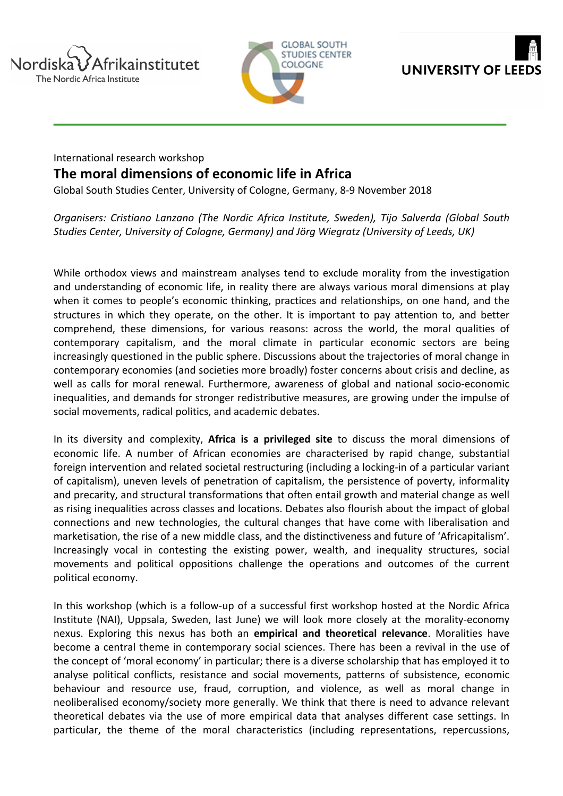





## International research workshop **The moral dimensions of economic life in Africa**

Global South Studies Center, University of Cologne, Germany, 8-9 November 2018

*Organisers: Cristiano Lanzano (The Nordic Africa Institute, Sweden), Tijo Salverda (Global South Studies Center, University of Cologne, Germany) and Jörg Wiegratz (University of Leeds, UK)*

While orthodox views and mainstream analyses tend to exclude morality from the investigation and understanding of economic life, in reality there are always various moral dimensions at play when it comes to people's economic thinking, practices and relationships, on one hand, and the structures in which they operate, on the other. It is important to pay attention to, and better comprehend, these dimensions, for various reasons: across the world, the moral qualities of contemporary capitalism, and the moral climate in particular economic sectors are being increasingly questioned in the public sphere. Discussions about the trajectories of moral change in contemporary economies (and societies more broadly) foster concerns about crisis and decline, as well as calls for moral renewal. Furthermore, awareness of global and national socio-economic inequalities, and demands for stronger redistributive measures, are growing under the impulse of social movements, radical politics, and academic debates.

In its diversity and complexity, Africa is a privileged site to discuss the moral dimensions of economic life. A number of African economies are characterised by rapid change, substantial foreign intervention and related societal restructuring (including a locking-in of a particular variant of capitalism), uneven levels of penetration of capitalism, the persistence of poverty, informality and precarity, and structural transformations that often entail growth and material change as well as rising inequalities across classes and locations. Debates also flourish about the impact of global connections and new technologies, the cultural changes that have come with liberalisation and marketisation, the rise of a new middle class, and the distinctiveness and future of 'Africapitalism'. Increasingly vocal in contesting the existing power, wealth, and inequality structures, social movements and political oppositions challenge the operations and outcomes of the current political economy.

In this workshop (which is a follow-up of a successful first workshop hosted at the Nordic Africa Institute (NAI), Uppsala, Sweden, last June) we will look more closely at the morality-economy nexus. Exploring this nexus has both an **empirical and theoretical relevance**. Moralities have become a central theme in contemporary social sciences. There has been a revival in the use of the concept of 'moral economy' in particular; there is a diverse scholarship that has employed it to analyse political conflicts, resistance and social movements, patterns of subsistence, economic behaviour and resource use, fraud, corruption, and violence, as well as moral change in neoliberalised economy/society more generally. We think that there is need to advance relevant theoretical debates via the use of more empirical data that analyses different case settings. In particular, the theme of the moral characteristics (including representations, repercussions,